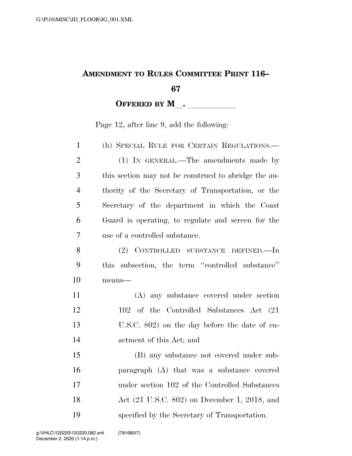## **AMENDMENT TO RULES COMMITTEE PRINT 116–**

## **OFFERED BY M\_\_.** \_\_\_\_\_\_\_\_\_\_\_\_

Page 12, after line 9, add the following:

| $\mathbf{1}$   | (h) SPECIAL RULE FOR CERTAIN REGULATIONS.-           |
|----------------|------------------------------------------------------|
| $\overline{2}$ | (1) IN GENERAL.—The amendments made by               |
| 3              | this section may not be construed to abridge the au- |
| $\overline{4}$ | thority of the Secretary of Transportation, or the   |
| 5              | Secretary of the department in which the Coast       |
| 6              | Guard is operating, to regulate and screen for the   |
| 7              | use of a controlled substance.                       |
| 8              | (2) CONTROLLED SUBSTANCE DEFINED.—In                 |
| 9              | subsection, the term "controlled substance"<br>this  |
| 10             | means-                                               |
| 11             | (A) any substance covered under section              |
| 12             | 102 of the Controlled Substances Act (21)            |
| 13             | U.S.C. 802) on the day before the date of en-        |
| 14             | actment of this Act; and                             |
| 15             | (B) any substance not covered under sub-             |
| 16             | paragraph (A) that was a substance covered           |
| 17             | under section 102 of the Controlled Substances       |
| 18             | Act (21 U.S.C. 802) on December 1, 2018, and         |
| 19             | specified by the Secretary of Transportation.        |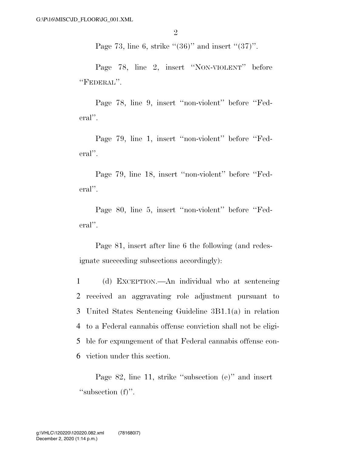Page 73, line 6, strike  $\cdot (36)$ " and insert  $\cdot (37)$ ".

Page 78, line 2, insert ''NON-VIOLENT'' before ''FEDERAL''.

Page 78, line 9, insert ''non-violent'' before ''Federal''.

Page 79, line 1, insert "non-violent" before "Federal''.

Page 79, line 18, insert ''non-violent'' before ''Federal''.

Page 80, line 5, insert ''non-violent'' before ''Federal''.

Page 81, insert after line 6 the following (and redesignate succeeding subsections accordingly):

 (d) EXCEPTION.—An individual who at sentencing received an aggravating role adjustment pursuant to United States Sentencing Guideline 3B1.1(a) in relation to a Federal cannabis offense conviction shall not be eligi- ble for expungement of that Federal cannabis offense con-viction under this section.

Page 82, line 11, strike ''subsection (e)'' and insert "subsection (f)".